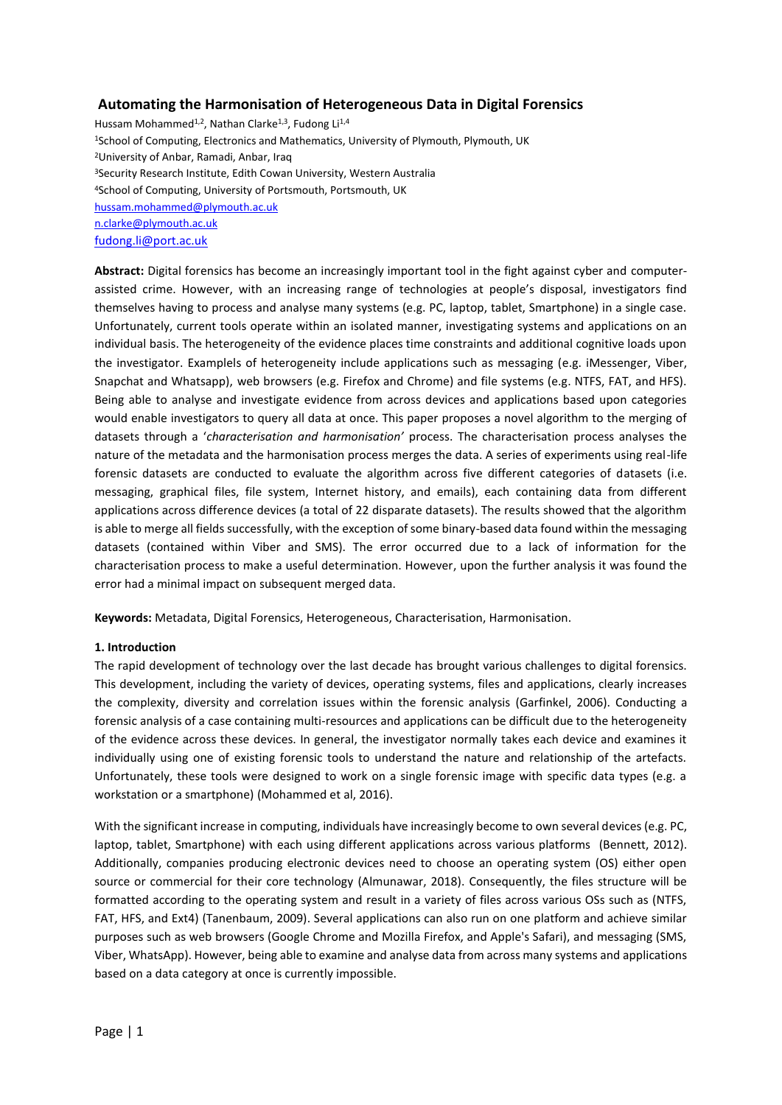### **Automating the Harmonisation of Heterogeneous Data in Digital Forensics**

Hussam Mohammed<sup>1,2</sup>, Nathan Clarke<sup>1,3</sup>, Fudong Li<sup>1,4</sup> <sup>1</sup>School of Computing, Electronics and Mathematics, University of Plymouth, Plymouth, UK <sup>2</sup>University of Anbar, Ramadi, Anbar, Iraq <sup>3</sup>Security Research Institute, Edith Cowan University, Western Australia <sup>4</sup>School of Computing, University of Portsmouth, Portsmouth, UK [hussam.mohammed@plymouth.ac.uk](mailto:hussam.mohammed@plymouth.ac.uk) [n.clarke@plymouth.ac.uk](mailto:n.clarke@plymouth.ac.uk) [fudong.li@port.ac.uk](mailto:fudong.li@port.ac.uk)

**Abstract:** Digital forensics has become an increasingly important tool in the fight against cyber and computerassisted crime. However, with an increasing range of technologies at people's disposal, investigators find themselves having to process and analyse many systems (e.g. PC, laptop, tablet, Smartphone) in a single case. Unfortunately, current tools operate within an isolated manner, investigating systems and applications on an individual basis. The heterogeneity of the evidence places time constraints and additional cognitive loads upon the investigator. Examplels of heterogeneity include applications such as messaging (e.g. iMessenger, Viber, Snapchat and Whatsapp), web browsers (e.g. Firefox and Chrome) and file systems (e.g. NTFS, FAT, and HFS). Being able to analyse and investigate evidence from across devices and applications based upon categories would enable investigators to query all data at once. This paper proposes a novel algorithm to the merging of datasets through a '*characterisation and harmonisation'* process. The characterisation process analyses the nature of the metadata and the harmonisation process merges the data. A series of experiments using real-life forensic datasets are conducted to evaluate the algorithm across five different categories of datasets (i.e. messaging, graphical files, file system, Internet history, and emails), each containing data from different applications across difference devices (a total of 22 disparate datasets). The results showed that the algorithm is able to merge all fields successfully, with the exception of some binary-based data found within the messaging datasets (contained within Viber and SMS). The error occurred due to a lack of information for the characterisation process to make a useful determination. However, upon the further analysis it was found the error had a minimal impact on subsequent merged data.

**Keywords:** Metadata, Digital Forensics, Heterogeneous, Characterisation, Harmonisation.

#### **1. Introduction**

The rapid development of technology over the last decade has brought various challenges to digital forensics. This development, including the variety of devices, operating systems, files and applications, clearly increases the complexity, diversity and correlation issues within the forensic analysis (Garfinkel, 2006). Conducting a forensic analysis of a case containing multi-resources and applications can be difficult due to the heterogeneity of the evidence across these devices. In general, the investigator normally takes each device and examines it individually using one of existing forensic tools to understand the nature and relationship of the artefacts. Unfortunately, these tools were designed to work on a single forensic image with specific data types (e.g. a workstation or a smartphone) (Mohammed et al, 2016).

With the significant increase in computing, individuals have increasingly become to own several devices (e.g. PC, laptop, tablet, Smartphone) with each using different applications across various platforms (Bennett, 2012). Additionally, companies producing electronic devices need to choose an operating system (OS) either open source or commercial for their core technology (Almunawar, 2018). Consequently, the files structure will be formatted according to the operating system and result in a variety of files across various OSs such as (NTFS, FAT, HFS, and Ext4) (Tanenbaum, 2009). Several applications can also run on one platform and achieve similar purposes such as web browsers (Google Chrome and Mozilla Firefox, and Apple's Safari), and messaging (SMS, Viber, WhatsApp). However, being able to examine and analyse data from across many systems and applications based on a data category at once is currently impossible.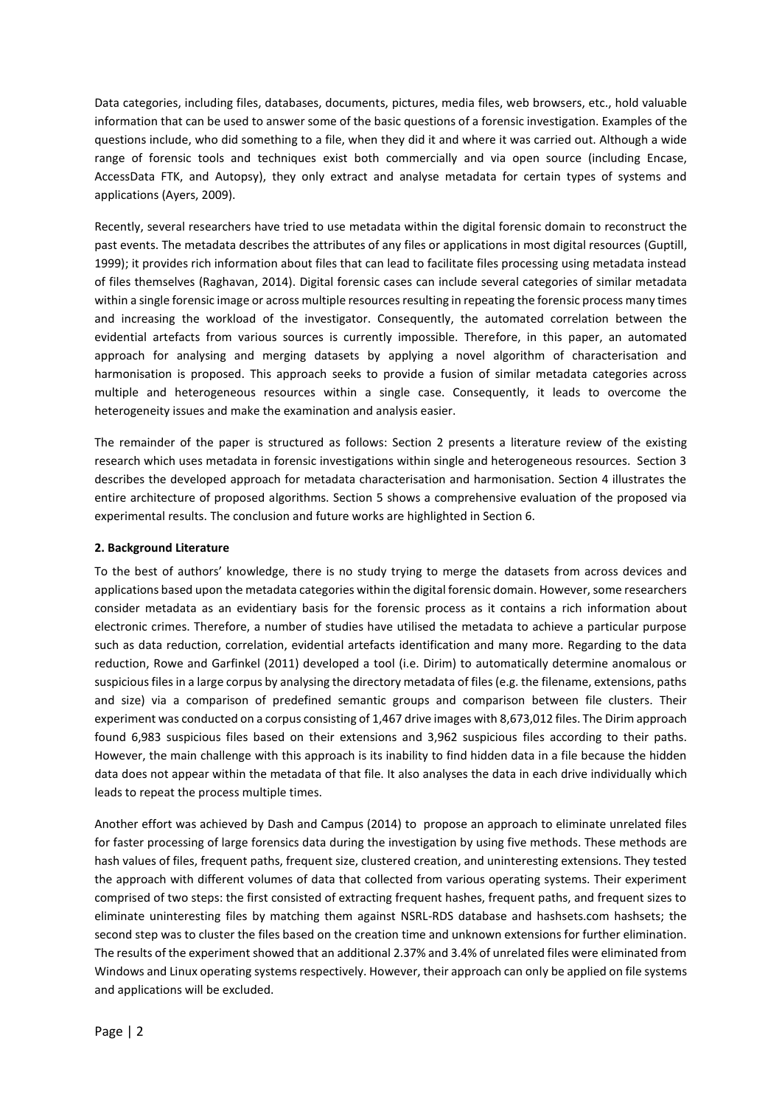Data categories, including files, databases, documents, pictures, media files, web browsers, etc., hold valuable information that can be used to answer some of the basic questions of a forensic investigation. Examples of the questions include, who did something to a file, when they did it and where it was carried out. Although a wide range of forensic tools and techniques exist both commercially and via open source (including Encase, AccessData FTK, and Autopsy), they only extract and analyse metadata for certain types of systems and applications (Ayers, 2009).

Recently, several researchers have tried to use metadata within the digital forensic domain to reconstruct the past events. The metadata describes the attributes of any files or applications in most digital resources (Guptill, 1999); it provides rich information about files that can lead to facilitate files processing using metadata instead of files themselves (Raghavan, 2014). Digital forensic cases can include several categories of similar metadata within a single forensic image or across multiple resources resulting in repeating the forensic process many times and increasing the workload of the investigator. Consequently, the automated correlation between the evidential artefacts from various sources is currently impossible. Therefore, in this paper, an automated approach for analysing and merging datasets by applying a novel algorithm of characterisation and harmonisation is proposed. This approach seeks to provide a fusion of similar metadata categories across multiple and heterogeneous resources within a single case. Consequently, it leads to overcome the heterogeneity issues and make the examination and analysis easier.

The remainder of the paper is structured as follows: Section 2 presents a literature review of the existing research which uses metadata in forensic investigations within single and heterogeneous resources. Section 3 describes the developed approach for metadata characterisation and harmonisation. Section 4 illustrates the entire architecture of proposed algorithms. Section 5 shows a comprehensive evaluation of the proposed via experimental results. The conclusion and future works are highlighted in Section 6.

#### **2. Background Literature**

To the best of authors' knowledge, there is no study trying to merge the datasets from across devices and applications based upon the metadata categories within the digital forensic domain. However, some researchers consider metadata as an evidentiary basis for the forensic process as it contains a rich information about electronic crimes. Therefore, a number of studies have utilised the metadata to achieve a particular purpose such as data reduction, correlation, evidential artefacts identification and many more. Regarding to the data reduction, Rowe and Garfinkel (2011) developed a tool (i.e. Dirim) to automatically determine anomalous or suspicious files in a large corpus by analysing the directory metadata of files (e.g. the filename, extensions, paths and size) via a comparison of predefined semantic groups and comparison between file clusters. Their experiment was conducted on a corpus consisting of 1,467 drive images with 8,673,012 files. The Dirim approach found 6,983 suspicious files based on their extensions and 3,962 suspicious files according to their paths. However, the main challenge with this approach is its inability to find hidden data in a file because the hidden data does not appear within the metadata of that file. It also analyses the data in each drive individually which leads to repeat the process multiple times.

Another effort was achieved by Dash and Campus (2014) to propose an approach to eliminate unrelated files for faster processing of large forensics data during the investigation by using five methods. These methods are hash values of files, frequent paths, frequent size, clustered creation, and uninteresting extensions. They tested the approach with different volumes of data that collected from various operating systems. Their experiment comprised of two steps: the first consisted of extracting frequent hashes, frequent paths, and frequent sizes to eliminate uninteresting files by matching them against NSRL-RDS database and hashsets.com hashsets; the second step was to cluster the files based on the creation time and unknown extensions for further elimination. The results of the experiment showed that an additional 2.37% and 3.4% of unrelated files were eliminated from Windows and Linux operating systems respectively. However, their approach can only be applied on file systems and applications will be excluded.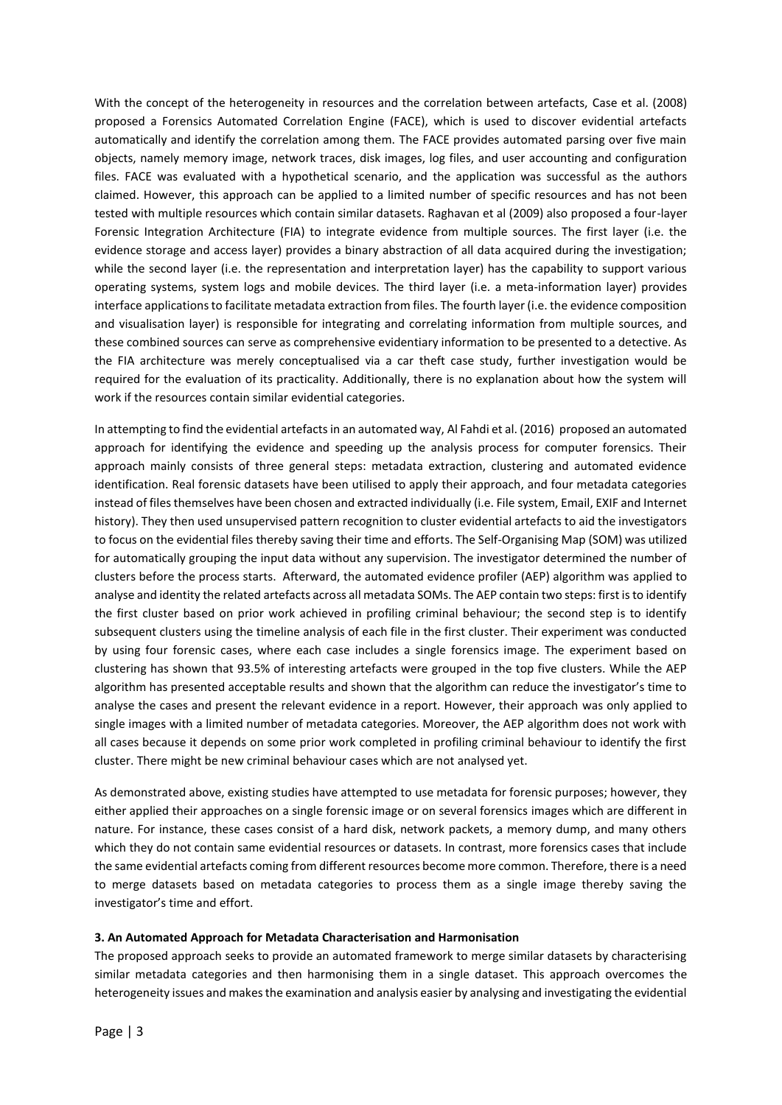With the concept of the heterogeneity in resources and the correlation between artefacts, Case et al. (2008) proposed a Forensics Automated Correlation Engine (FACE), which is used to discover evidential artefacts automatically and identify the correlation among them. The FACE provides automated parsing over five main objects, namely memory image, network traces, disk images, log files, and user accounting and configuration files. FACE was evaluated with a hypothetical scenario, and the application was successful as the authors claimed. However, this approach can be applied to a limited number of specific resources and has not been tested with multiple resources which contain similar datasets. Raghavan et al (2009) also proposed a four-layer Forensic Integration Architecture (FIA) to integrate evidence from multiple sources. The first layer (i.e. the evidence storage and access layer) provides a binary abstraction of all data acquired during the investigation; while the second layer (i.e. the representation and interpretation layer) has the capability to support various operating systems, system logs and mobile devices. The third layer (i.e. a meta-information layer) provides interface applications to facilitate metadata extraction from files. The fourth layer (i.e. the evidence composition and visualisation layer) is responsible for integrating and correlating information from multiple sources, and these combined sources can serve as comprehensive evidentiary information to be presented to a detective. As the FIA architecture was merely conceptualised via a car theft case study, further investigation would be required for the evaluation of its practicality. Additionally, there is no explanation about how the system will work if the resources contain similar evidential categories.

In attempting to find the evidential artefacts in an automated way, Al Fahdi et al. (2016) proposed an automated approach for identifying the evidence and speeding up the analysis process for computer forensics. Their approach mainly consists of three general steps: metadata extraction, clustering and automated evidence identification. Real forensic datasets have been utilised to apply their approach, and four metadata categories instead of files themselves have been chosen and extracted individually (i.e. File system, Email, EXIF and Internet history). They then used unsupervised pattern recognition to cluster evidential artefacts to aid the investigators to focus on the evidential files thereby saving their time and efforts. The Self-Organising Map (SOM) was utilized for automatically grouping the input data without any supervision. The investigator determined the number of clusters before the process starts. Afterward, the automated evidence profiler (AEP) algorithm was applied to analyse and identity the related artefacts across all metadata SOMs. The AEP contain two steps: first is to identify the first cluster based on prior work achieved in profiling criminal behaviour; the second step is to identify subsequent clusters using the timeline analysis of each file in the first cluster. Their experiment was conducted by using four forensic cases, where each case includes a single forensics image. The experiment based on clustering has shown that 93.5% of interesting artefacts were grouped in the top five clusters. While the AEP algorithm has presented acceptable results and shown that the algorithm can reduce the investigator's time to analyse the cases and present the relevant evidence in a report. However, their approach was only applied to single images with a limited number of metadata categories. Moreover, the AEP algorithm does not work with all cases because it depends on some prior work completed in profiling criminal behaviour to identify the first cluster. There might be new criminal behaviour cases which are not analysed yet.

As demonstrated above, existing studies have attempted to use metadata for forensic purposes; however, they either applied their approaches on a single forensic image or on several forensics images which are different in nature. For instance, these cases consist of a hard disk, network packets, a memory dump, and many others which they do not contain same evidential resources or datasets. In contrast, more forensics cases that include the same evidential artefacts coming from different resources become more common. Therefore, there is a need to merge datasets based on metadata categories to process them as a single image thereby saving the investigator's time and effort.

#### **3. An Automated Approach for Metadata Characterisation and Harmonisation**

The proposed approach seeks to provide an automated framework to merge similar datasets by characterising similar metadata categories and then harmonising them in a single dataset. This approach overcomes the heterogeneity issues and makes the examination and analysis easier by analysing and investigating the evidential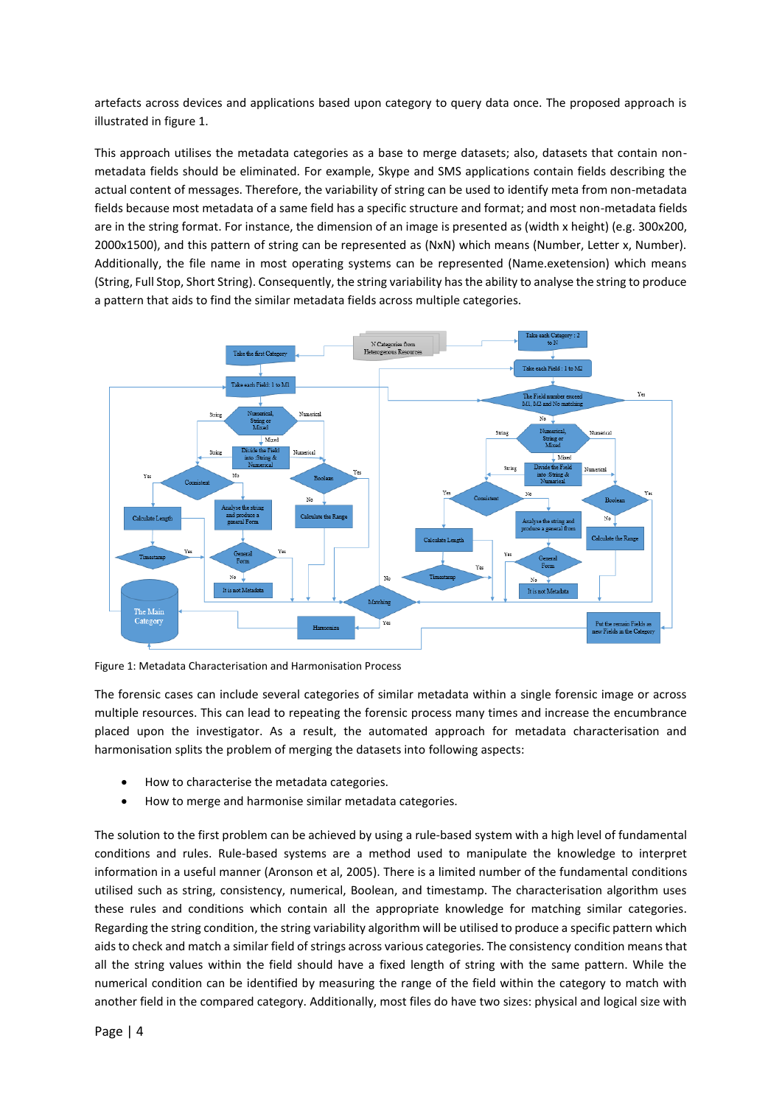artefacts across devices and applications based upon category to query data once. The proposed approach is illustrated in figure 1.

This approach utilises the metadata categories as a base to merge datasets; also, datasets that contain nonmetadata fields should be eliminated. For example, Skype and SMS applications contain fields describing the actual content of messages. Therefore, the variability of string can be used to identify meta from non-metadata fields because most metadata of a same field has a specific structure and format; and most non-metadata fields are in the string format. For instance, the dimension of an image is presented as (width x height) (e.g. 300x200, 2000x1500), and this pattern of string can be represented as (NxN) which means (Number, Letter x, Number). Additionally, the file name in most operating systems can be represented (Name.exetension) which means (String, Full Stop, Short String). Consequently, the string variability has the ability to analyse the string to produce a pattern that aids to find the similar metadata fields across multiple categories.



Figure 1: Metadata Characterisation and Harmonisation Process

The forensic cases can include several categories of similar metadata within a single forensic image or across multiple resources. This can lead to repeating the forensic process many times and increase the encumbrance placed upon the investigator. As a result, the automated approach for metadata characterisation and harmonisation splits the problem of merging the datasets into following aspects:

- How to characterise the metadata categories.
- How to merge and harmonise similar metadata categories.

The solution to the first problem can be achieved by using a rule-based system with a high level of fundamental conditions and rules. Rule-based systems are a method used to manipulate the knowledge to interpret information in a useful manner (Aronson et al, 2005). There is a limited number of the fundamental conditions utilised such as string, consistency, numerical, Boolean, and timestamp. The characterisation algorithm uses these rules and conditions which contain all the appropriate knowledge for matching similar categories. Regarding the string condition, the string variability algorithm will be utilised to produce a specific pattern which aids to check and match a similar field of strings across various categories. The consistency condition means that all the string values within the field should have a fixed length of string with the same pattern. While the numerical condition can be identified by measuring the range of the field within the category to match with another field in the compared category. Additionally, most files do have two sizes: physical and logical size with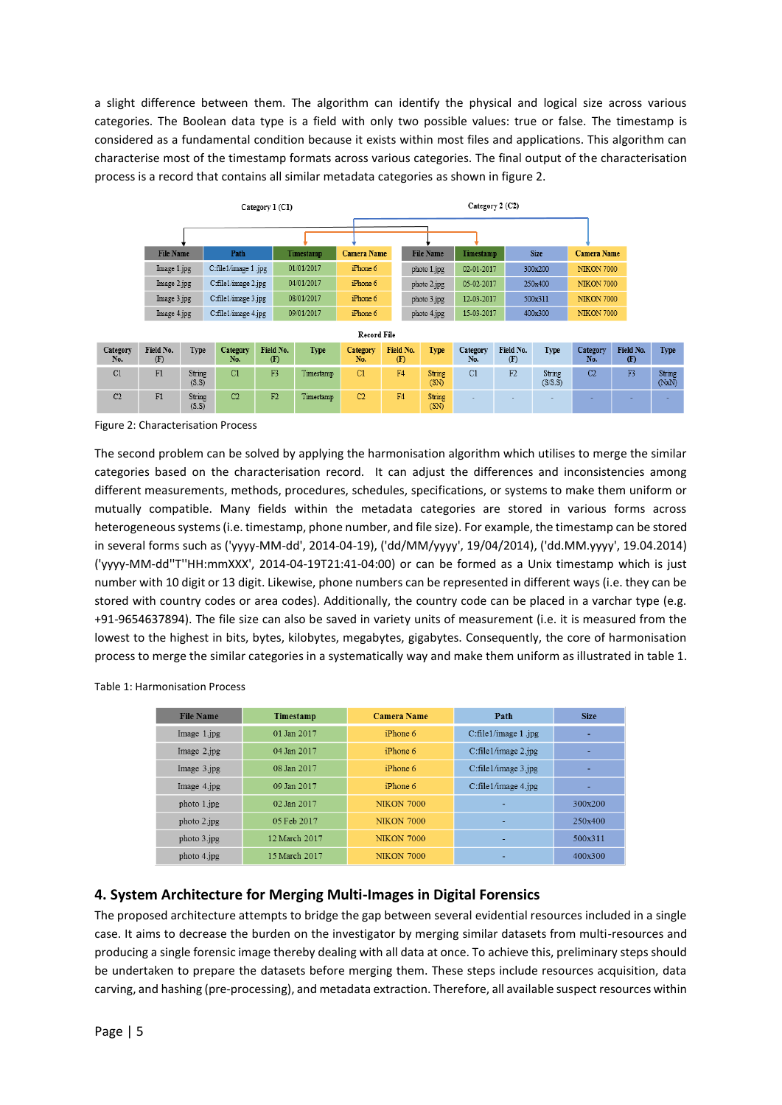a slight difference between them. The algorithm can identify the physical and logical size across various categories. The Boolean data type is a field with only two possible values: true or false. The timestamp is considered as a fundamental condition because it exists within most files and applications. This algorithm can characterise most of the timestamp formats across various categories. The final output of the characterisation process is a record that contains all similar metadata categories as shown in figure 2.

|                 | Category 1 (C1)  |                 |                     |                  |            |                    | Category 2 (C2) |           |                  |                 |                  |                   |                    |                  |                 |
|-----------------|------------------|-----------------|---------------------|------------------|------------|--------------------|-----------------|-----------|------------------|-----------------|------------------|-------------------|--------------------|------------------|-----------------|
|                 |                  |                 |                     |                  |            |                    |                 |           |                  |                 |                  |                   |                    |                  |                 |
|                 | <b>File Name</b> |                 | Path                |                  | Timestamp  | <b>Camera Name</b> |                 |           | <b>File Name</b> | Timestamp       |                  | <b>Size</b>       | <b>Camera Name</b> |                  |                 |
|                 | Image 1.jpg      |                 | C:file1/image 1.jpg |                  | 01/01/2017 | iPhone 6           |                 |           | photo 1.jpg      | 02-01-2017      |                  | 300x200           | <b>NIKON 7000</b>  |                  |                 |
|                 | Image 2.jpg      |                 | C:file1/image 2.jpg |                  | 04/01/2017 | iPhone 6           |                 |           | photo 2.jpg      | 05-02-2017      |                  | 250x400           | <b>NIKON 7000</b>  |                  |                 |
|                 | Image 3.jpg      |                 | C:file1/image 3.jpg |                  | 08/01/2017 | iPhone 6           |                 |           | photo 3.jpg      | 12-03-2017      |                  | 500x311           | <b>NIKON 7000</b>  |                  |                 |
|                 | Image 4.jpg      |                 | C:file1/image 4.jpg |                  | 09/01/2017 | iPhone 6           |                 |           | photo 4.jpg      | 15-03-2017      |                  | 400x300           | <b>NIKON 7000</b>  |                  |                 |
| Record File     |                  |                 |                     |                  |            |                    |                 |           |                  |                 |                  |                   |                    |                  |                 |
| Category<br>No. | Field No.<br>(F) | Type            | Category<br>No.     | Field No.<br>(F) | Type       | Category<br>No.    | $\mathbf{F}$    | Field No. | Type             | Category<br>No. | Field No.<br>(F) | Type              | Category<br>No.    | Field No.<br>(F) | Type            |
| C1              | F1               | String<br>(S.S) | C1                  | F <sub>3</sub>   | Timestamp  | C1                 | F4              |           | String<br>(SN)   | C1              | F2               | String<br>(S/S.S) | C <sub>2</sub>     | F <sub>3</sub>   | String<br>(NxN) |
| C2              | F1               | String<br>(S.S) | C <sub>2</sub>      | F2               | Timestamp  | C2                 | F4              |           | String<br>(SN)   |                 |                  |                   |                    |                  |                 |

Figure 2: Characterisation Process

The second problem can be solved by applying the harmonisation algorithm which utilises to merge the similar categories based on the characterisation record. It can adjust the differences and inconsistencies among different measurements, methods, procedures, schedules, specifications, or systems to make them uniform or mutually compatible. Many fields within the metadata categories are stored in various forms across heterogeneous systems (i.e. timestamp, phone number, and file size). For example, the timestamp can be stored in several forms such as ('yyyy-MM-dd', 2014-04-19), ('dd/MM/yyyy', 19/04/2014), ('dd.MM.yyyy', 19.04.2014) ('yyyy-MM-dd''T''HH:mmXXX', 2014-04-19T21:41-04:00) or can be formed as a Unix timestamp which is just number with 10 digit or 13 digit. Likewise, phone numbers can be represented in different ways (i.e. they can be stored with country codes or area codes). Additionally, the country code can be placed in a varchar type (e.g. +91-9654637894). The file size can also be saved in variety units of measurement (i.e. it is measured from the lowest to the highest in bits, bytes, kilobytes, megabytes, gigabytes. Consequently, the core of harmonisation process to merge the similar categories in a systematically way and make them uniform as illustrated in table 1.

| <b>File Name</b> | Timestamp     | <b>Camera Name</b> | Path                         | <b>Size</b> |
|------------------|---------------|--------------------|------------------------------|-------------|
| Image 1.jpg      | 01 Jan 2017   | iPhone 6           | C:file1/image 1.jpg          |             |
| Image $2.jpg$    | 04 Jan 2017   | iPhone 6           | C:file1/image 2.jpg          |             |
| Image $3.jpg$    | 08 Jan 2017   | iPhone 6           | $C:$ file $1/$ image $3.jpg$ |             |
| Image 4.jpg      | 09 Jan 2017   | iPhone 6           | C:file1/image 4.jpg          | ۰           |
| photo 1.jpg      | 02. Jan 2017  | <b>NIKON 7000</b>  |                              | 300x200     |
| photo 2.jpg      | 05 Feb 2017   | <b>NIKON 7000</b>  |                              | 250x400     |
| photo 3.jpg      | 12 March 2017 | <b>NIKON 7000</b>  |                              | 500x311     |
| photo 4.jpg      | 15 March 2017 | <b>NIKON 7000</b>  |                              | 400x300     |

Table 1: Harmonisation Process

### **4. System Architecture for Merging Multi-Images in Digital Forensics**

The proposed architecture attempts to bridge the gap between several evidential resources included in a single case. It aims to decrease the burden on the investigator by merging similar datasets from multi-resources and producing a single forensic image thereby dealing with all data at once. To achieve this, preliminary steps should be undertaken to prepare the datasets before merging them. These steps include resources acquisition, data carving, and hashing (pre-processing), and metadata extraction. Therefore, all available suspect resources within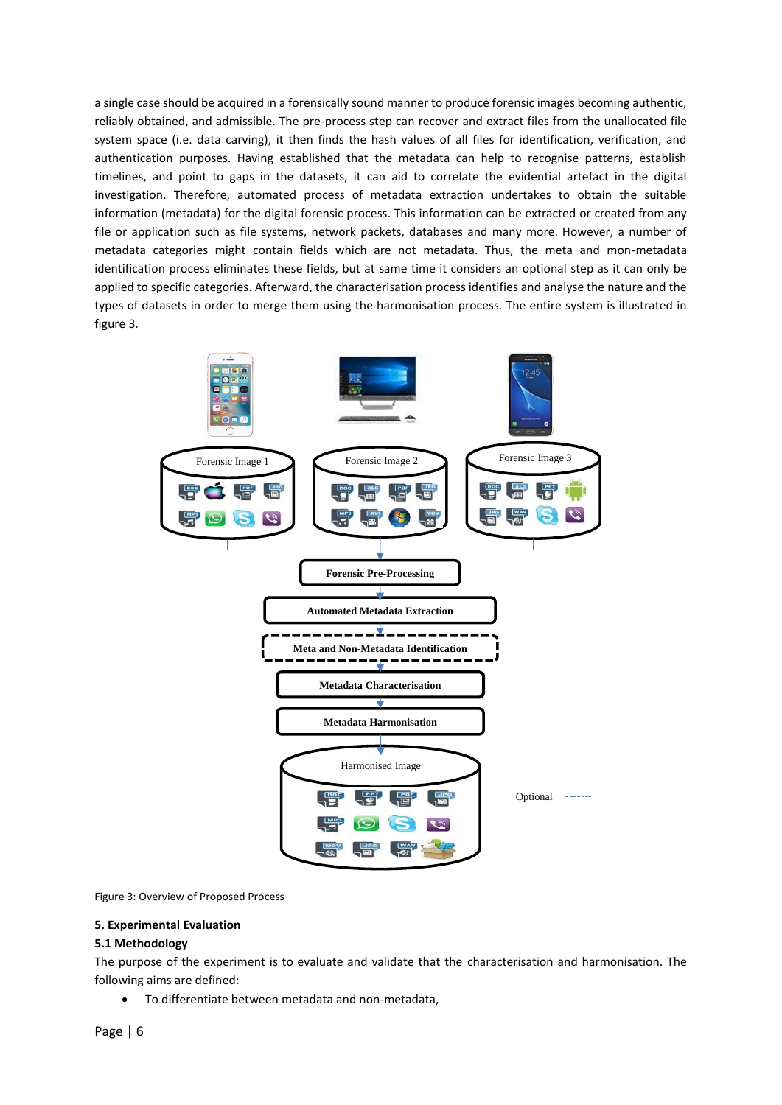a single case should be acquired in a forensically sound manner to produce forensic images becoming authentic, reliably obtained, and admissible. The pre-process step can recover and extract files from the unallocated file system space (i.e. data carving), it then finds the hash values of all files for identification, verification, and authentication purposes. Having established that the metadata can help to recognise patterns, establish timelines, and point to gaps in the datasets, it can aid to correlate the evidential artefact in the digital investigation. Therefore, automated process of metadata extraction undertakes to obtain the suitable information (metadata) for the digital forensic process. This information can be extracted or created from any file or application such as file systems, network packets, databases and many more. However, a number of metadata categories might contain fields which are not metadata. Thus, the meta and mon-metadata identification process eliminates these fields, but at same time it considers an optional step as it can only be applied to specific categories. Afterward, the characterisation process identifies and analyse the nature and the types of datasets in order to merge them using the harmonisation process. The entire system is illustrated in figure 3.



Figure 3: Overview of Proposed Process

#### **5. Experimental Evaluation**

#### **5.1 Methodology**

The purpose of the experiment is to evaluate and validate that the characterisation and harmonisation. The following aims are defined:

To differentiate between metadata and non-metadata,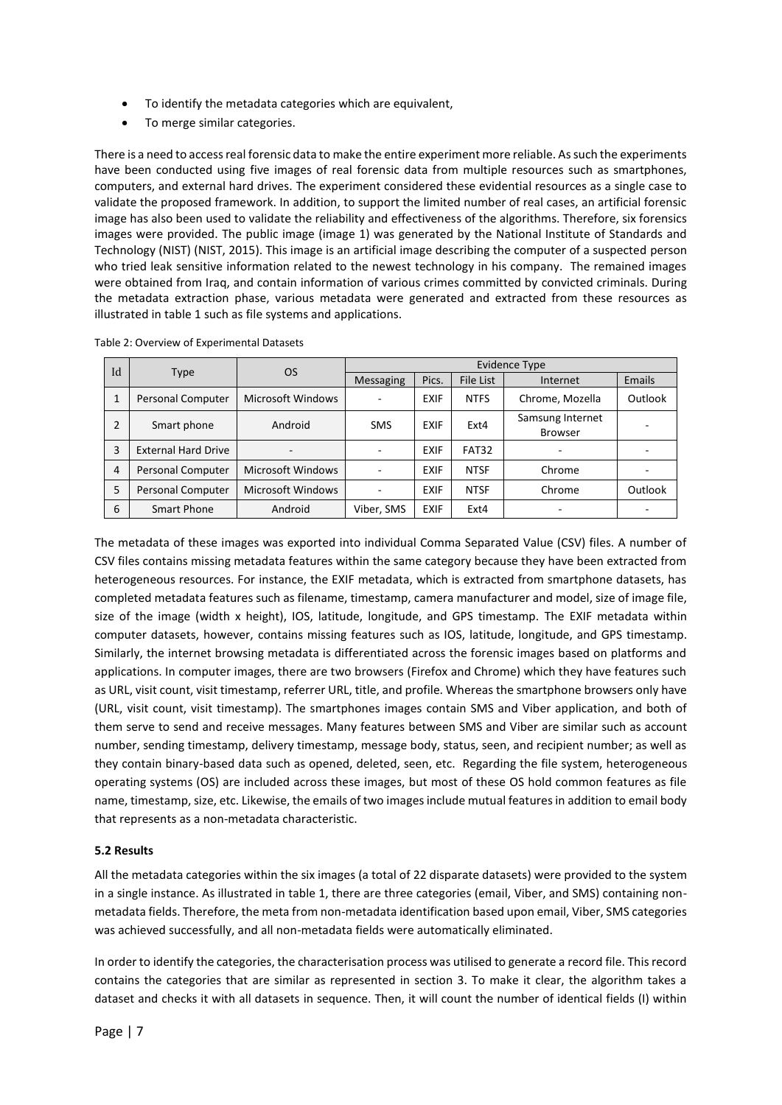- To identify the metadata categories which are equivalent,
- To merge similar categories.

There is a need to access real forensic data to make the entire experiment more reliable. As such the experiments have been conducted using five images of real forensic data from multiple resources such as smartphones, computers, and external hard drives. The experiment considered these evidential resources as a single case to validate the proposed framework. In addition, to support the limited number of real cases, an artificial forensic image has also been used to validate the reliability and effectiveness of the algorithms. Therefore, six forensics images were provided. The public image (image 1) was generated by the National Institute of Standards and Technology (NIST) (NIST, 2015). This image is an artificial image describing the computer of a suspected person who tried leak sensitive information related to the newest technology in his company. The remained images were obtained from Iraq, and contain information of various crimes committed by convicted criminals. During the metadata extraction phase, various metadata were generated and extracted from these resources as illustrated in table 1 such as file systems and applications.

| Id             |                            | <b>OS</b>                | <b>Evidence Type</b>     |             |              |                                    |         |  |  |
|----------------|----------------------------|--------------------------|--------------------------|-------------|--------------|------------------------------------|---------|--|--|
|                | <b>Type</b>                |                          | <b>Messaging</b>         | Pics.       | File List    | Internet                           | Emails  |  |  |
| 1              | Personal Computer          | <b>Microsoft Windows</b> | ٠                        | <b>EXIF</b> | <b>NTFS</b>  | Chrome, Mozella                    | Outlook |  |  |
| $\overline{2}$ | Smart phone                | Android                  | <b>SMS</b>               | <b>EXIF</b> | Ext4         | Samsung Internet<br><b>Browser</b> |         |  |  |
| 3              | <b>External Hard Drive</b> |                          |                          | <b>EXIF</b> | <b>FAT32</b> |                                    |         |  |  |
| 4              | <b>Personal Computer</b>   | <b>Microsoft Windows</b> | $\overline{\phantom{a}}$ | <b>EXIF</b> | <b>NTSF</b>  | Chrome                             |         |  |  |
| 5              | <b>Personal Computer</b>   | <b>Microsoft Windows</b> | ٠                        | <b>EXIF</b> | <b>NTSF</b>  | Chrome                             | Outlook |  |  |
| 6              | Smart Phone                | Android                  | Viber, SMS               | <b>EXIF</b> | Ext4         |                                    |         |  |  |

Table 2: Overview of Experimental Datasets

The metadata of these images was exported into individual Comma Separated Value (CSV) files. A number of CSV files contains missing metadata features within the same category because they have been extracted from heterogeneous resources. For instance, the EXIF metadata, which is extracted from smartphone datasets, has completed metadata features such as filename, timestamp, camera manufacturer and model, size of image file, size of the image (width x height), IOS, latitude, longitude, and GPS timestamp. The EXIF metadata within computer datasets, however, contains missing features such as IOS, latitude, longitude, and GPS timestamp. Similarly, the internet browsing metadata is differentiated across the forensic images based on platforms and applications. In computer images, there are two browsers (Firefox and Chrome) which they have features such as URL, visit count, visit timestamp, referrer URL, title, and profile. Whereas the smartphone browsers only have (URL, visit count, visit timestamp). The smartphones images contain SMS and Viber application, and both of them serve to send and receive messages. Many features between SMS and Viber are similar such as account number, sending timestamp, delivery timestamp, message body, status, seen, and recipient number; as well as they contain binary-based data such as opened, deleted, seen, etc. Regarding the file system, heterogeneous operating systems (OS) are included across these images, but most of these OS hold common features as file name, timestamp, size, etc. Likewise, the emails of two images include mutual features in addition to email body that represents as a non-metadata characteristic.

#### **5.2 Results**

All the metadata categories within the six images (a total of 22 disparate datasets) were provided to the system in a single instance. As illustrated in table 1, there are three categories (email, Viber, and SMS) containing nonmetadata fields. Therefore, the meta from non-metadata identification based upon email, Viber, SMS categories was achieved successfully, and all non-metadata fields were automatically eliminated.

In order to identify the categories, the characterisation process was utilised to generate a record file. This record contains the categories that are similar as represented in section 3. To make it clear, the algorithm takes a dataset and checks it with all datasets in sequence. Then, it will count the number of identical fields (I) within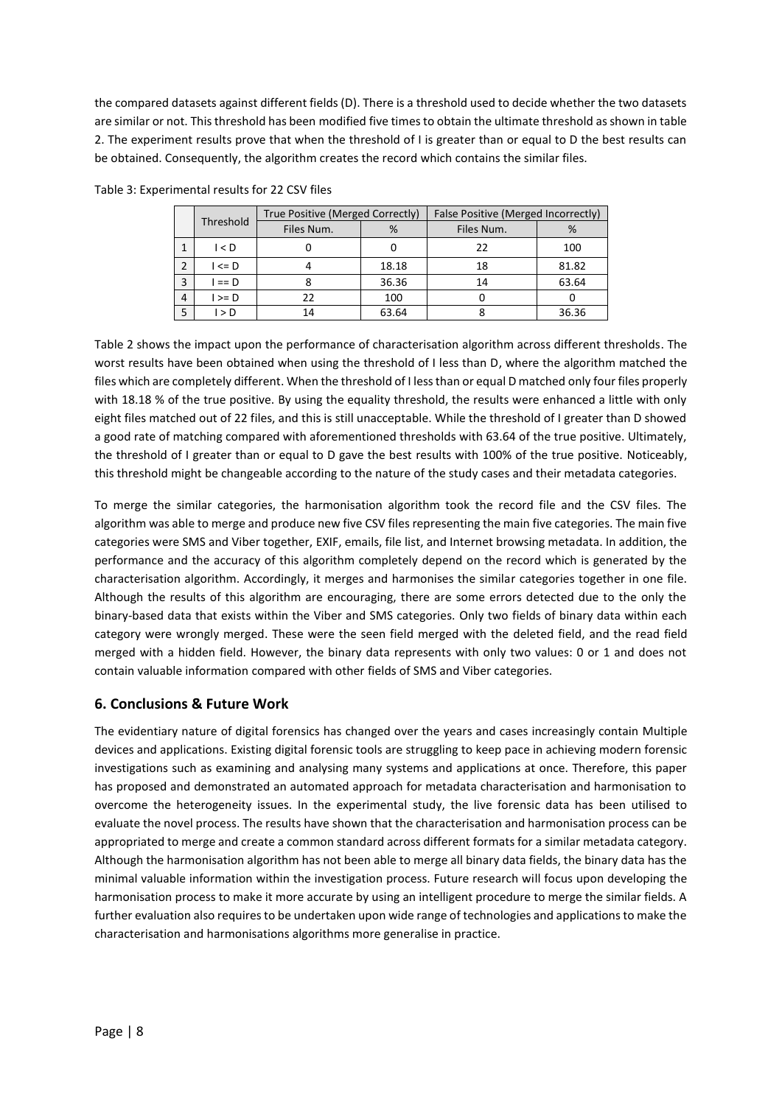the compared datasets against different fields (D). There is a threshold used to decide whether the two datasets are similar or not. This threshold has been modified five times to obtain the ultimate threshold as shown in table 2. The experiment results prove that when the threshold of I is greater than or equal to D the best results can be obtained. Consequently, the algorithm creates the record which contains the similar files.

|                | Threshold  | True Positive (Merged Correctly) |       | False Positive (Merged Incorrectly) |       |  |
|----------------|------------|----------------------------------|-------|-------------------------------------|-------|--|
|                |            | Files Num.                       | %     | Files Num.                          | %     |  |
|                | I < D      |                                  |       | フフ                                  | 100   |  |
| $\overline{2}$ | $I \leq D$ |                                  | 18.18 | 18                                  | 81.82 |  |
| 3              | $I == D$   |                                  | 36.36 | 14                                  | 63.64 |  |
| $\overline{4}$ | $I \ge D$  | 22                               | 100   |                                     |       |  |
| 5              | l > D      | 14                               | 63.64 |                                     | 36.36 |  |

Table 3: Experimental results for 22 CSV files

Table 2 shows the impact upon the performance of characterisation algorithm across different thresholds. The worst results have been obtained when using the threshold of I less than D, where the algorithm matched the files which are completely different. When the threshold of I less than or equal D matched only four files properly with 18.18 % of the true positive. By using the equality threshold, the results were enhanced a little with only eight files matched out of 22 files, and this is still unacceptable. While the threshold of I greater than D showed a good rate of matching compared with aforementioned thresholds with 63.64 of the true positive. Ultimately, the threshold of I greater than or equal to D gave the best results with 100% of the true positive. Noticeably, this threshold might be changeable according to the nature of the study cases and their metadata categories.

To merge the similar categories, the harmonisation algorithm took the record file and the CSV files. The algorithm was able to merge and produce new five CSV files representing the main five categories. The main five categories were SMS and Viber together, EXIF, emails, file list, and Internet browsing metadata. In addition, the performance and the accuracy of this algorithm completely depend on the record which is generated by the characterisation algorithm. Accordingly, it merges and harmonises the similar categories together in one file. Although the results of this algorithm are encouraging, there are some errors detected due to the only the binary-based data that exists within the Viber and SMS categories. Only two fields of binary data within each category were wrongly merged. These were the seen field merged with the deleted field, and the read field merged with a hidden field. However, the binary data represents with only two values: 0 or 1 and does not contain valuable information compared with other fields of SMS and Viber categories.

## **6. Conclusions & Future Work**

The evidentiary nature of digital forensics has changed over the years and cases increasingly contain Multiple devices and applications. Existing digital forensic tools are struggling to keep pace in achieving modern forensic investigations such as examining and analysing many systems and applications at once. Therefore, this paper has proposed and demonstrated an automated approach for metadata characterisation and harmonisation to overcome the heterogeneity issues. In the experimental study, the live forensic data has been utilised to evaluate the novel process. The results have shown that the characterisation and harmonisation process can be appropriated to merge and create a common standard across different formats for a similar metadata category. Although the harmonisation algorithm has not been able to merge all binary data fields, the binary data has the minimal valuable information within the investigation process. Future research will focus upon developing the harmonisation process to make it more accurate by using an intelligent procedure to merge the similar fields. A further evaluation also requires to be undertaken upon wide range of technologies and applications to make the characterisation and harmonisations algorithms more generalise in practice.